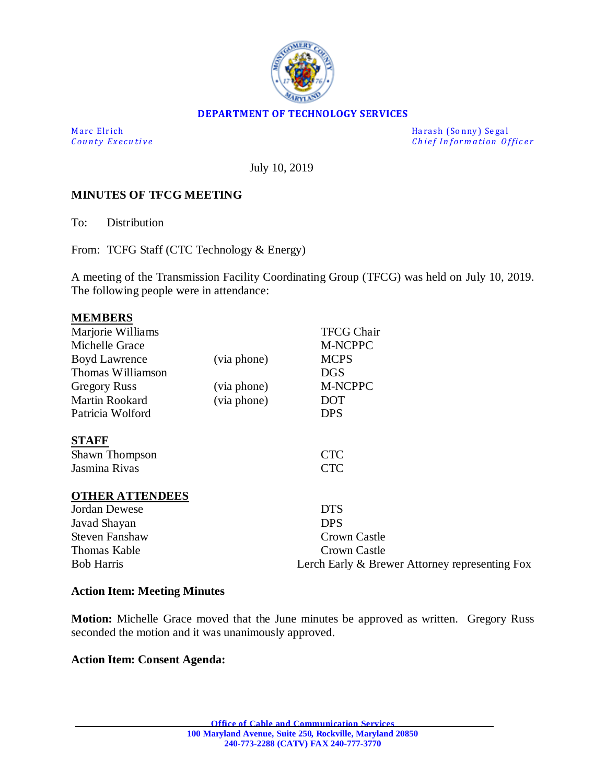

### **DEPARTMENT OF TECHNOLOGY SERVICES**

M a rc El rich de la county Executive de la county Executive de la county Executive de la county Executive de l<br>  $\begin{array}{ccc} \text{Harsh (Sonny) Segal} \end{array}$ *Chief Information Officer* 

July 10, 2019

### **MINUTES OF TFCG MEETING**

To: Distribution

From: TCFG Staff (CTC Technology & Energy)

A meeting of the Transmission Facility Coordinating Group (TFCG) was held on July 10, 2019. The following people were in attendance:

| <b>MEMBERS</b>         |             |                                                |
|------------------------|-------------|------------------------------------------------|
| Marjorie Williams      |             | <b>TFCG Chair</b>                              |
| Michelle Grace         |             | M-NCPPC                                        |
| <b>Boyd Lawrence</b>   | (via phone) | <b>MCPS</b>                                    |
| Thomas Williamson      |             | <b>DGS</b>                                     |
| <b>Gregory Russ</b>    | (via phone) | M-NCPPC                                        |
| Martin Rookard         | (via phone) | <b>DOT</b>                                     |
| Patricia Wolford       |             | <b>DPS</b>                                     |
| <b>STAFF</b>           |             |                                                |
| Shawn Thompson         |             | <b>CTC</b>                                     |
| Jasmina Rivas          |             | <b>CTC</b>                                     |
| <b>OTHER ATTENDEES</b> |             |                                                |
| <b>Jordan Dewese</b>   |             | <b>DTS</b>                                     |
| Javad Shayan           |             | <b>DPS</b>                                     |
| <b>Steven Fanshaw</b>  |             | <b>Crown Castle</b>                            |
| Thomas Kable           |             | Crown Castle                                   |
| <b>Bob Harris</b>      |             | Lerch Early & Brewer Attorney representing Fox |

#### **Action Item: Meeting Minutes**

**Motion:** Michelle Grace moved that the June minutes be approved as written. Gregory Russ seconded the motion and it was unanimously approved.

#### **Action Item: Consent Agenda:**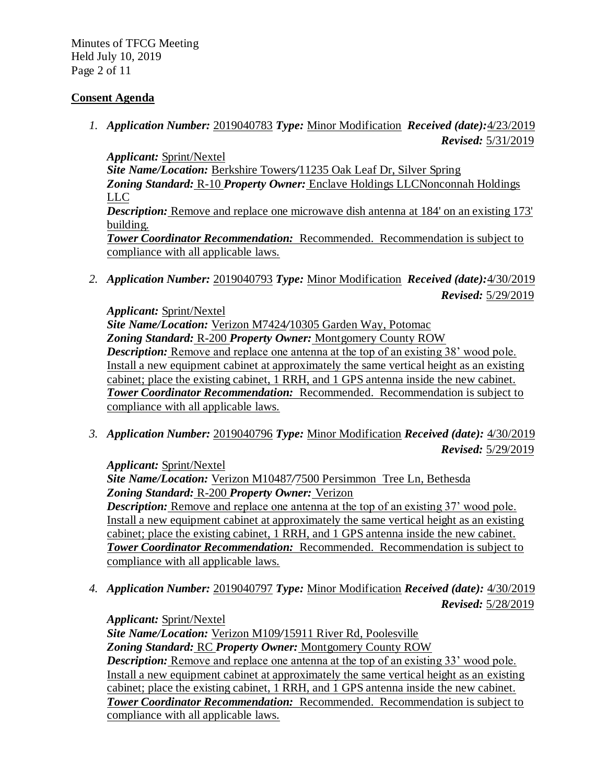Minutes of TFCG Meeting Held July 10, 2019 Page 2 of 11

### **Consent Agenda**

*1. Application Number:* 2019040783 *Type:* Minor Modification *Received (date):*4/23/2019 *Revised:* 5/31/2019

*Applicant:* Sprint/Nextel *Site Name/Location:* Berkshire Towers*/*11235 Oak Leaf Dr, Silver Spring *Zoning Standard:* R-10 *Property Owner:* Enclave Holdings LLCNonconnah Holdings LLC *Description:* Remove and replace one microwave dish antenna at 184' on an existing 173' building. *Tower Coordinator Recommendation:* Recommended. Recommendation is subject to compliance with all applicable laws.

*2. Application Number:* 2019040793 *Type:* Minor Modification *Received (date):*4/30/2019 *Revised:* 5/29/2019

*Applicant:* Sprint/Nextel *Site Name/Location:* Verizon M7424*/*10305 Garden Way, Potomac *Zoning Standard:* R-200 *Property Owner:* Montgomery County ROW *Description:* Remove and replace one antenna at the top of an existing 38' wood pole. Install a new equipment cabinet at approximately the same vertical height as an existing cabinet; place the existing cabinet, 1 RRH, and 1 GPS antenna inside the new cabinet. *Tower Coordinator Recommendation:* Recommended. Recommendation is subject to compliance with all applicable laws.

*3. Application Number:* 2019040796 *Type:* Minor Modification *Received (date):* 4/30/2019 *Revised:* 5/29/2019

*Applicant:* Sprint/Nextel *Site Name/Location:* Verizon M10487*/*7500 Persimmon Tree Ln, Bethesda *Zoning Standard:* R-200 *Property Owner:* Verizon *Description:* Remove and replace one antenna at the top of an existing 37' wood pole. Install a new equipment cabinet at approximately the same vertical height as an existing cabinet; place the existing cabinet, 1 RRH, and 1 GPS antenna inside the new cabinet. *Tower Coordinator Recommendation:* Recommended. Recommendation is subject to compliance with all applicable laws.

*4. Application Number:* 2019040797 *Type:* Minor Modification *Received (date):* 4/30/2019 *Revised:* 5/28/2019

*Applicant:* Sprint/Nextel *Site Name/Location:* Verizon M109*/*15911 River Rd, Poolesville *Zoning Standard:* RC *Property Owner:* Montgomery County ROW *Description:* Remove and replace one antenna at the top of an existing 33' wood pole. Install a new equipment cabinet at approximately the same vertical height as an existing cabinet; place the existing cabinet, 1 RRH, and 1 GPS antenna inside the new cabinet. *Tower Coordinator Recommendation:* Recommended. Recommendation is subject to compliance with all applicable laws.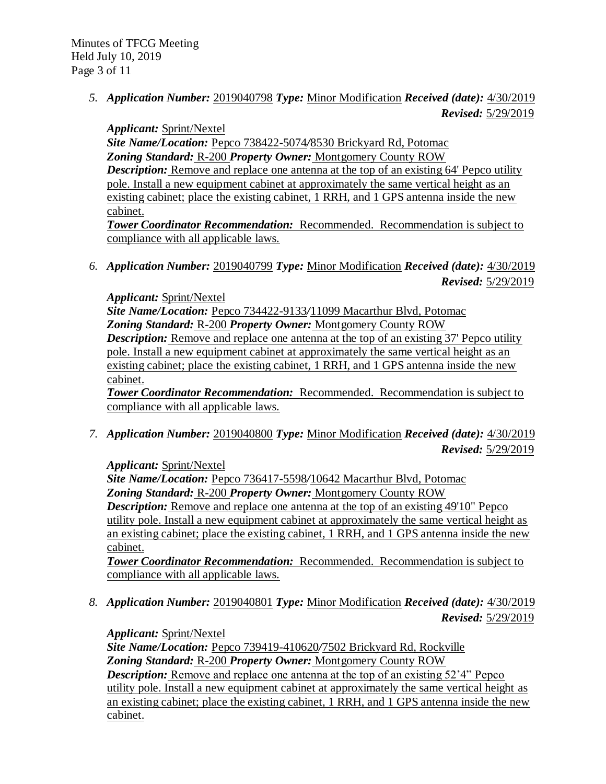*5. Application Number:* 2019040798 *Type:* Minor Modification *Received (date):* 4/30/2019 *Revised:* 5/29/2019

*Applicant:* Sprint/Nextel *Site Name/Location:* Pepco 738422-5074*/*8530 Brickyard Rd, Potomac *Zoning Standard:* R-200 *Property Owner:* Montgomery County ROW *Description:* Remove and replace one antenna at the top of an existing 64' Pepco utility pole. Install a new equipment cabinet at approximately the same vertical height as an existing cabinet; place the existing cabinet, 1 RRH, and 1 GPS antenna inside the new cabinet.

*Tower Coordinator Recommendation:* Recommended. Recommendation is subject to compliance with all applicable laws.

*6. Application Number:* 2019040799 *Type:* Minor Modification *Received (date):* 4/30/2019 *Revised:* 5/29/2019

*Applicant:* Sprint/Nextel *Site Name/Location:* Pepco 734422-9133*/*11099 Macarthur Blvd, Potomac *Zoning Standard:* R-200 *Property Owner:* Montgomery County ROW *Description:* Remove and replace one antenna at the top of an existing 37' Pepco utility pole. Install a new equipment cabinet at approximately the same vertical height as an existing cabinet; place the existing cabinet, 1 RRH, and 1 GPS antenna inside the new cabinet.

*Tower Coordinator Recommendation:* Recommended. Recommendation is subject to compliance with all applicable laws.

*7. Application Number:* 2019040800 *Type:* Minor Modification *Received (date):* 4/30/2019 *Revised:* 5/29/2019

*Applicant:* Sprint/Nextel *Site Name/Location:* Pepco 736417-5598*/*10642 Macarthur Blvd, Potomac *Zoning Standard:* R-200 *Property Owner:* Montgomery County ROW *Description:* Remove and replace one antenna at the top of an existing 49'10" Pepco utility pole. Install a new equipment cabinet at approximately the same vertical height as an existing cabinet; place the existing cabinet, 1 RRH, and 1 GPS antenna inside the new

cabinet.

*Tower Coordinator Recommendation:* Recommended. Recommendation is subject to compliance with all applicable laws.

*8. Application Number:* 2019040801 *Type:* Minor Modification *Received (date):* 4/30/2019 *Revised:* 5/29/2019

*Applicant:* Sprint/Nextel *Site Name/Location:* Pepco 739419-410620*/*7502 Brickyard Rd, Rockville *Zoning Standard:* R-200 *Property Owner:* Montgomery County ROW *Description:* Remove and replace one antenna at the top of an existing 52'4" Pepco utility pole. Install a new equipment cabinet at approximately the same vertical height as an existing cabinet; place the existing cabinet, 1 RRH, and 1 GPS antenna inside the new cabinet.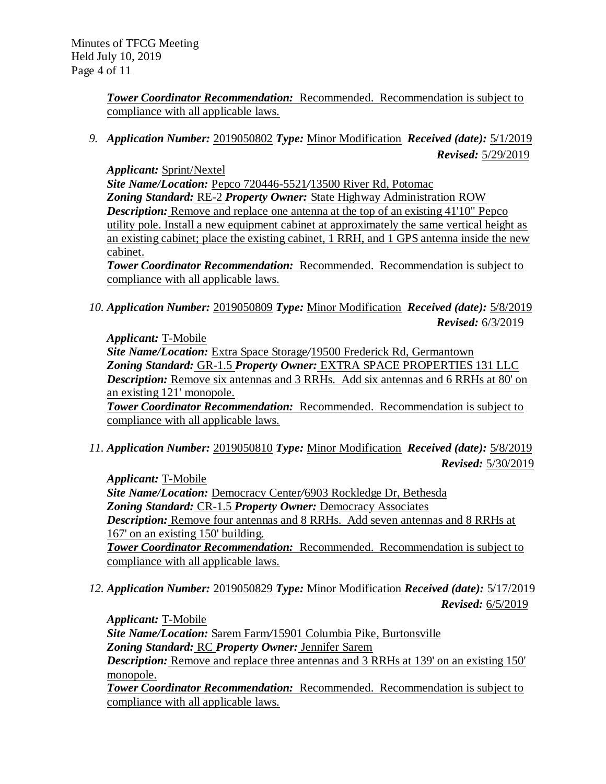*Tower Coordinator Recommendation:* Recommended. Recommendation is subject to compliance with all applicable laws.

*9. Application Number:* 2019050802 *Type:* Minor Modification *Received (date):* 5/1/2019 *Revised:* 5/29/2019

*Applicant:* Sprint/Nextel *Site Name/Location:* Pepco 720446-5521*/*13500 River Rd, Potomac *Zoning Standard:* RE-2 *Property Owner:* State Highway Administration ROW *Description:* Remove and replace one antenna at the top of an existing 41'10" Pepco utility pole. Install a new equipment cabinet at approximately the same vertical height as an existing cabinet; place the existing cabinet, 1 RRH, and 1 GPS antenna inside the new cabinet.

*Tower Coordinator Recommendation:* Recommended. Recommendation is subject to compliance with all applicable laws.

*10. Application Number:* 2019050809 *Type:* Minor Modification *Received (date):* 5/8/2019 *Revised:* 6/3/2019

*Applicant:* T-Mobile *Site Name/Location:* Extra Space Storage*/*19500 Frederick Rd, Germantown *Zoning Standard:* GR-1.5 *Property Owner:* EXTRA SPACE PROPERTIES 131 LLC *Description:* Remove six antennas and 3 RRHs. Add six antennas and 6 RRHs at 80' on an existing 121' monopole.

*Tower Coordinator Recommendation:* Recommended. Recommendation is subject to compliance with all applicable laws.

*11. Application Number:* 2019050810 *Type:* Minor Modification *Received (date):* 5/8/2019 *Revised:* 5/30/2019

*Applicant:* T-Mobile *Site Name/Location:* Democracy Center*/*6903 Rockledge Dr, Bethesda *Zoning Standard:* CR-1.5 *Property Owner:* Democracy Associates *Description:* Remove four antennas and 8 RRHs. Add seven antennas and 8 RRHs at 167' on an existing 150' building. *Tower Coordinator Recommendation:* Recommended. Recommendation is subject to compliance with all applicable laws.

*12. Application Number:* 2019050829 *Type:* Minor Modification *Received (date):* 5/17/2019 *Revised:* 6/5/2019

*Applicant:* T-Mobile *Site Name/Location:* Sarem Farm*/*15901 Columbia Pike, Burtonsville *Zoning Standard:* RC *Property Owner:* Jennifer Sarem *Description:* Remove and replace three antennas and 3 RRHs at 139' on an existing 150' monopole.

*Tower Coordinator Recommendation:* Recommended. Recommendation is subject to compliance with all applicable laws.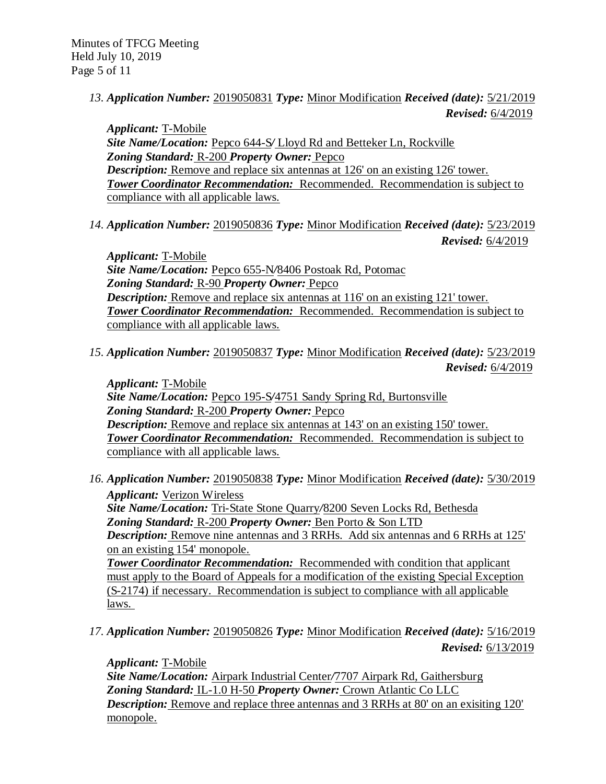*13. Application Number:* 2019050831 *Type:* Minor Modification *Received (date):* 5/21/2019 *Revised:* 6/4/2019

*Applicant:* T-Mobile *Site Name/Location:* Pepco 644-S*/* Lloyd Rd and Betteker Ln, Rockville *Zoning Standard:* R-200 *Property Owner:* Pepco *Description:* Remove and replace six antennas at 126' on an existing 126' tower. *Tower Coordinator Recommendation:* Recommended. Recommendation is subject to compliance with all applicable laws.

*14. Application Number:* 2019050836 *Type:* Minor Modification *Received (date):* 5/23/2019 *Revised:* 6/4/2019

*Applicant:* T-Mobile *Site Name/Location:* Pepco 655-N*/*8406 Postoak Rd, Potomac *Zoning Standard:* R-90 *Property Owner:* Pepco *Description:* Remove and replace six antennas at 116' on an existing 121' tower. *Tower Coordinator Recommendation:* Recommended. Recommendation is subject to compliance with all applicable laws.

*15. Application Number:* 2019050837 *Type:* Minor Modification *Received (date):* 5/23/2019 *Revised:* 6/4/2019

*Applicant:* T-Mobile *Site Name/Location:* Pepco 195-S*/*4751 Sandy Spring Rd, Burtonsville *Zoning Standard:* R-200 *Property Owner:* Pepco *Description:* Remove and replace six antennas at 143' on an existing 150' tower. *Tower Coordinator Recommendation:* Recommended. Recommendation is subject to compliance with all applicable laws.

- *16. Application Number:* 2019050838 *Type:* Minor Modification *Received (date):* 5/30/2019 *Applicant:* Verizon Wireless *Site Name/Location:* Tri-State Stone Quarry*/*8200 Seven Locks Rd, Bethesda *Zoning Standard:* R-200 *Property Owner:* Ben Porto & Son LTD *Description:* Remove nine antennas and 3 RRHs. Add six antennas and 6 RRHs at 125' on an existing 154' monopole. **Tower Coordinator Recommendation:** Recommended with condition that applicant must apply to the Board of Appeals for a modification of the existing Special Exception (S-2174) if necessary. Recommendation is subject to compliance with all applicable laws.
- *17. Application Number:* 2019050826 *Type:* Minor Modification *Received (date):* 5/16/2019 *Revised:* 6/13/2019

*Applicant:* T-Mobile

*Site Name/Location:* Airpark Industrial Center*/*7707 Airpark Rd, Gaithersburg *Zoning Standard:* IL-1.0 H-50 *Property Owner:* Crown Atlantic Co LLC *Description:* Remove and replace three antennas and 3 RRHs at 80' on an exisiting 120' monopole.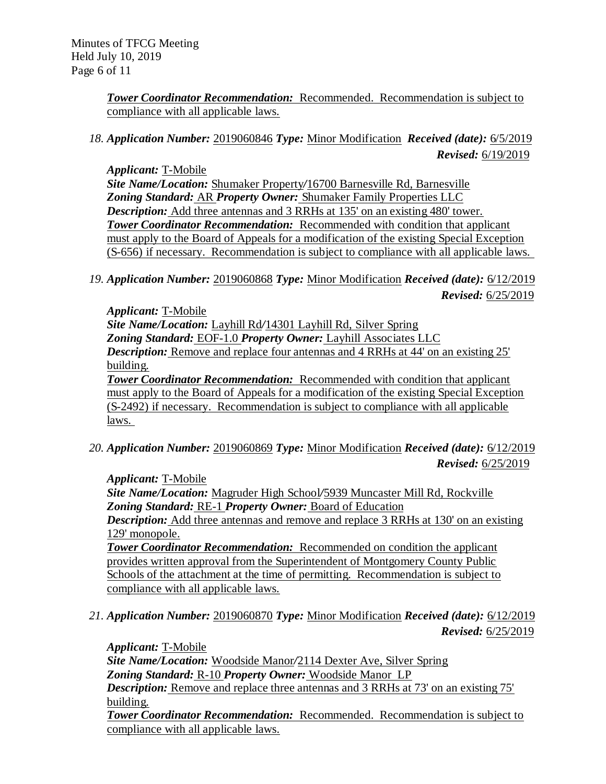*Tower Coordinator Recommendation:* Recommended. Recommendation is subject to compliance with all applicable laws.

# *18. Application Number:* 2019060846 *Type:* Minor Modification *Received (date):* 6/5/2019 *Revised:* 6/19/2019

*Applicant:* T-Mobile *Site Name/Location:* Shumaker Property*/*16700 Barnesville Rd, Barnesville *Zoning Standard:* AR *Property Owner:* Shumaker Family Properties LLC *Description:* Add three antennas and 3 RRHs at 135' on an existing 480' tower. *Tower Coordinator Recommendation:* Recommended with condition that applicant must apply to the Board of Appeals for a modification of the existing Special Exception (S-656) if necessary. Recommendation is subject to compliance with all applicable laws.

*19. Application Number:* 2019060868 *Type:* Minor Modification *Received (date):* 6/12/2019 *Revised:* 6/25/2019

*Applicant:* T-Mobile *Site Name/Location:* Layhill Rd*/*14301 Layhill Rd, Silver Spring *Zoning Standard:* EOF-1.0 *Property Owner:* Layhill Associates LLC *Description:* Remove and replace four antennas and 4 RRHs at 44' on an existing 25' building. *Tower Coordinator Recommendation:* Recommended with condition that applicant must apply to the Board of Appeals for a modification of the existing Special Exception (S-2492) if necessary. Recommendation is subject to compliance with all applicable laws.

*20. Application Number:* 2019060869 *Type:* Minor Modification *Received (date):* 6/12/2019 *Revised:* 6/25/2019

*Applicant:* T-Mobile

*Site Name/Location:* Magruder High School*/*5939 Muncaster Mill Rd, Rockville *Zoning Standard:* RE-1 *Property Owner:* Board of Education

*Description:* Add three antennas and remove and replace 3 RRHs at 130' on an existing 129' monopole.

*Tower Coordinator Recommendation:* Recommended on condition the applicant provides written approval from the Superintendent of Montgomery County Public Schools of the attachment at the time of permitting. Recommendation is subject to compliance with all applicable laws.

*21. Application Number:* 2019060870 *Type:* Minor Modification *Received (date):* 6/12/2019 *Revised:* 6/25/2019

*Applicant:* T-Mobile *Site Name/Location:* Woodside Manor*/*2114 Dexter Ave, Silver Spring *Zoning Standard:* R-10 *Property Owner:* Woodside Manor LP *Description:* Remove and replace three antennas and 3 RRHs at 73' on an existing 75' building. *Tower Coordinator Recommendation:* Recommended. Recommendation is subject to compliance with all applicable laws.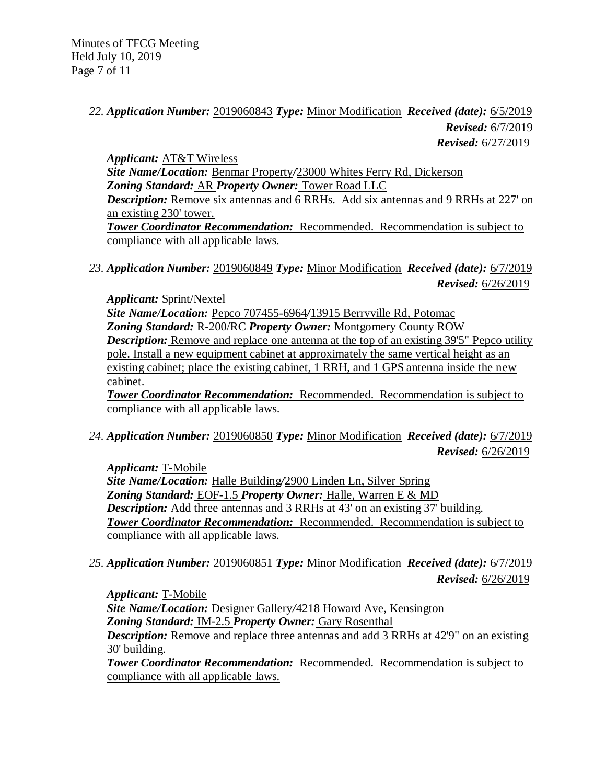# *22. Application Number:* 2019060843 *Type:* Minor Modification *Received (date):* 6/5/2019 *Revised:* 6/7/2019 *Revised:* 6/27/2019

*Applicant:* AT&T Wireless *Site Name/Location:* Benmar Property*/*23000 Whites Ferry Rd, Dickerson *Zoning Standard:* AR *Property Owner:* Tower Road LLC *Description:* Remove six antennas and 6 RRHs. Add six antennas and 9 RRHs at 227' on an existing 230' tower. *Tower Coordinator Recommendation:* Recommended. Recommendation is subject to compliance with all applicable laws.

*23. Application Number:* 2019060849 *Type:* Minor Modification *Received (date):* 6/7/2019 *Revised:* 6/26/2019

*Applicant:* Sprint/Nextel *Site Name/Location:* Pepco 707455-6964*/*13915 Berryville Rd, Potomac *Zoning Standard:* R-200/RC *Property Owner:* Montgomery County ROW *Description:* Remove and replace one antenna at the top of an existing 39'5" Pepco utility pole. Install a new equipment cabinet at approximately the same vertical height as an existing cabinet; place the existing cabinet, 1 RRH, and 1 GPS antenna inside the new cabinet.

*Tower Coordinator Recommendation:* Recommended. Recommendation is subject to compliance with all applicable laws.

*24. Application Number:* 2019060850 *Type:* Minor Modification *Received (date):* 6/7/2019 *Revised:* 6/26/2019

*Applicant:* T-Mobile *Site Name/Location:* Halle Building*/*2900 Linden Ln, Silver Spring *Zoning Standard:* EOF-1.5 *Property Owner:* Halle, Warren E & MD *Description:* Add three antennas and 3 RRHs at 43' on an existing 37' building. *Tower Coordinator Recommendation:* Recommended. Recommendation is subject to compliance with all applicable laws.

*25. Application Number:* 2019060851 *Type:* Minor Modification *Received (date):* 6/7/2019 *Revised:* 6/26/2019

*Applicant:* T-Mobile *Site Name/Location:* Designer Gallery*/*4218 Howard Ave, Kensington *Zoning Standard:* IM-2.5 *Property Owner:* Gary Rosenthal *Description:* Remove and replace three antennas and add 3 RRHs at 42'9" on an existing 30' building.

*Tower Coordinator Recommendation:* Recommended. Recommendation is subject to compliance with all applicable laws.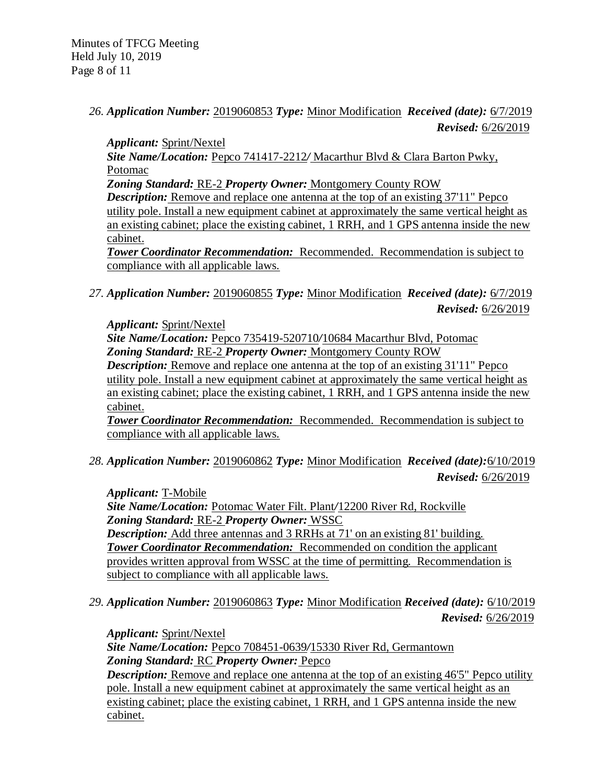Minutes of TFCG Meeting Held July 10, 2019 Page 8 of 11

## *26. Application Number:* 2019060853 *Type:* Minor Modification *Received (date):* 6/7/2019 *Revised:* 6/26/2019

*Applicant:* Sprint/Nextel

*Site Name/Location:* Pepco 741417-2212*/* Macarthur Blvd & Clara Barton Pwky, Potomac

*Zoning Standard:* RE-2 *Property Owner:* Montgomery County ROW

*Description:* Remove and replace one antenna at the top of an existing 37'11" Pepco utility pole. Install a new equipment cabinet at approximately the same vertical height as an existing cabinet; place the existing cabinet, 1 RRH, and 1 GPS antenna inside the new cabinet.

*Tower Coordinator Recommendation:* Recommended. Recommendation is subject to compliance with all applicable laws.

*27. Application Number:* 2019060855 *Type:* Minor Modification *Received (date):* 6/7/2019 *Revised:* 6/26/2019

*Applicant:* Sprint/Nextel *Site Name/Location:* Pepco 735419-520710*/*10684 Macarthur Blvd, Potomac *Zoning Standard:* RE-2 *Property Owner:* Montgomery County ROW *Description:* Remove and replace one antenna at the top of an existing 31'11" Pepco utility pole. Install a new equipment cabinet at approximately the same vertical height as an existing cabinet; place the existing cabinet, 1 RRH, and 1 GPS antenna inside the new cabinet.

*Tower Coordinator Recommendation:* Recommended. Recommendation is subject to compliance with all applicable laws.

*28. Application Number:* 2019060862 *Type:* Minor Modification *Received (date):*6/10/2019 *Revised:* 6/26/2019

*Applicant:* T-Mobile *Site Name/Location:* Potomac Water Filt. Plant*/*12200 River Rd, Rockville *Zoning Standard:* RE-2 *Property Owner:* WSSC *Description:* Add three antennas and 3 RRHs at 71' on an existing 81' building. *Tower Coordinator Recommendation:* Recommended on condition the applicant provides written approval from WSSC at the time of permitting. Recommendation is subject to compliance with all applicable laws.

*29. Application Number:* 2019060863 *Type:* Minor Modification *Received (date):* 6/10/2019 *Revised:* 6/26/2019

*Applicant:* Sprint/Nextel *Site Name/Location:* Pepco 708451-0639*/*15330 River Rd, Germantown *Zoning Standard:* RC *Property Owner:* Pepco

*Description:* Remove and replace one antenna at the top of an existing 46'5" Pepco utility pole. Install a new equipment cabinet at approximately the same vertical height as an existing cabinet; place the existing cabinet, 1 RRH, and 1 GPS antenna inside the new cabinet.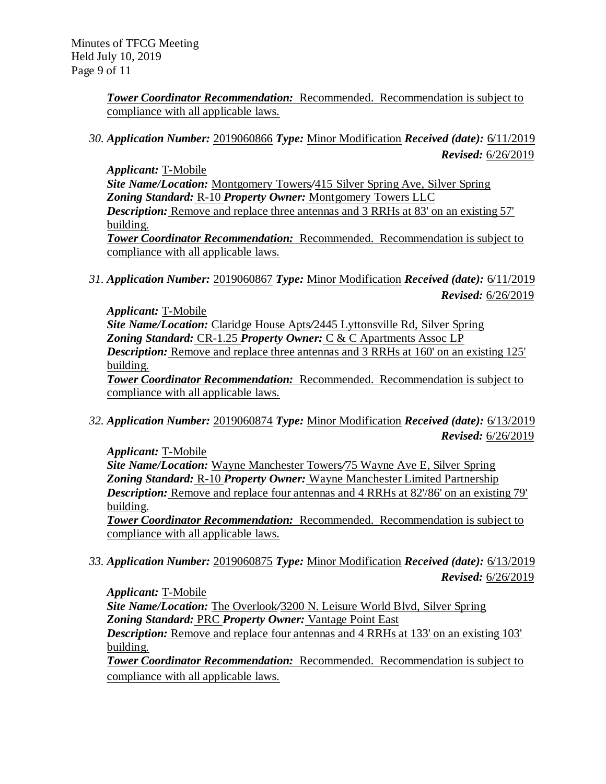*Tower Coordinator Recommendation:* Recommended. Recommendation is subject to compliance with all applicable laws.

*30. Application Number:* 2019060866 *Type:* Minor Modification *Received (date):* 6/11/2019 *Revised:* 6/26/2019

*Applicant:* T-Mobile *Site Name/Location:* Montgomery Towers*/*415 Silver Spring Ave, Silver Spring *Zoning Standard:* R-10 *Property Owner:* Montgomery Towers LLC *Description:* Remove and replace three antennas and 3 RRHs at 83' on an existing 57' building. *Tower Coordinator Recommendation:* Recommended. Recommendation is subject to compliance with all applicable laws.

*31. Application Number:* 2019060867 *Type:* Minor Modification *Received (date):* 6/11/2019 *Revised:* 6/26/2019

*Applicant:* T-Mobile *Site Name/Location:* Claridge House Apts*/*2445 Lyttonsville Rd, Silver Spring *Zoning Standard:* CR-1.25 *Property Owner:* C & C Apartments Assoc LP *Description:* Remove and replace three antennas and 3 RRHs at 160' on an existing 125' building. *Tower Coordinator Recommendation:* Recommended. Recommendation is subject to

compliance with all applicable laws.

*32. Application Number:* 2019060874 *Type:* Minor Modification *Received (date):* 6/13/2019 *Revised:* 6/26/2019

*Applicant:* T-Mobile

*Site Name/Location:* Wayne Manchester Towers*/*75 Wayne Ave E, Silver Spring *Zoning Standard:* R-10 *Property Owner:* Wayne Manchester Limited Partnership *Description:* Remove and replace four antennas and 4 RRHs at 82'/86' on an existing 79' building.

*Tower Coordinator Recommendation:* Recommended. Recommendation is subject to compliance with all applicable laws.

*33. Application Number:* 2019060875 *Type:* Minor Modification *Received (date):* 6/13/2019 *Revised:* 6/26/2019

*Applicant:* T-Mobile

*Site Name/Location:* The Overlook*/*3200 N. Leisure World Blvd, Silver Spring *Zoning Standard:* PRC *Property Owner:* Vantage Point East

*Description:* Remove and replace four antennas and 4 RRHs at 133' on an existing 103' building.

*Tower Coordinator Recommendation:* Recommended. Recommendation is subject to compliance with all applicable laws.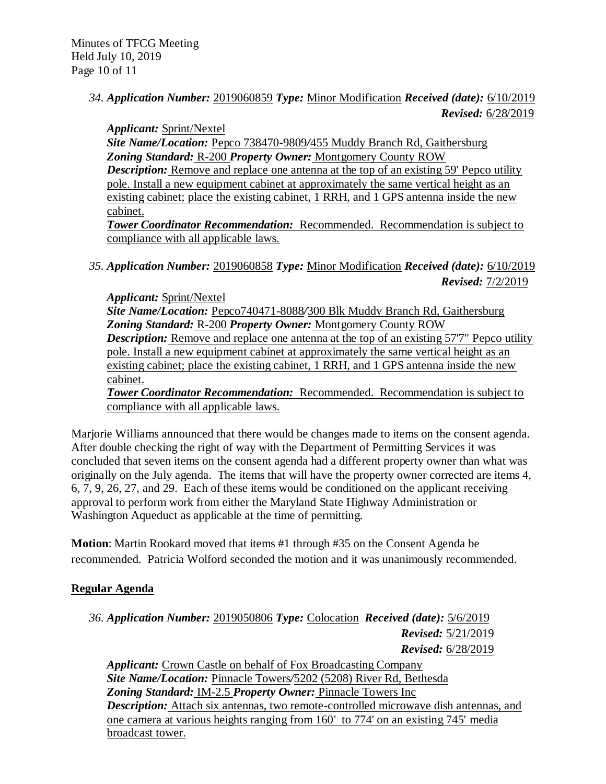# *34. Application Number:* 2019060859 *Type:* Minor Modification *Received (date):* 6/10/2019 *Revised:* 6/28/2019

*Applicant:* Sprint/Nextel *Site Name/Location:* Pepco 738470-9809*/*455 Muddy Branch Rd, Gaithersburg *Zoning Standard:* R-200 *Property Owner:* Montgomery County ROW *Description:* Remove and replace one antenna at the top of an existing 59' Pepco utility pole. Install a new equipment cabinet at approximately the same vertical height as an existing cabinet; place the existing cabinet, 1 RRH, and 1 GPS antenna inside the new cabinet.

*Tower Coordinator Recommendation:* Recommended. Recommendation is subject to compliance with all applicable laws.

*35. Application Number:* 2019060858 *Type:* Minor Modification *Received (date):* 6/10/2019 *Revised:* 7/2/2019

*Applicant:* Sprint/Nextel *Site Name/Location:* Pepco740471-8088*/*300 Blk Muddy Branch Rd, Gaithersburg *Zoning Standard:* R-200 *Property Owner:* Montgomery County ROW *Description:* Remove and replace one antenna at the top of an existing 57'7" Pepco utility pole. Install a new equipment cabinet at approximately the same vertical height as an existing cabinet; place the existing cabinet, 1 RRH, and 1 GPS antenna inside the new cabinet.

*Tower Coordinator Recommendation:* Recommended. Recommendation is subject to compliance with all applicable laws.

Marjorie Williams announced that there would be changes made to items on the consent agenda. After double checking the right of way with the Department of Permitting Services it was concluded that seven items on the consent agenda had a different property owner than what was originally on the July agenda. The items that will have the property owner corrected are items 4, 6, 7, 9, 26, 27, and 29. Each of these items would be conditioned on the applicant receiving approval to perform work from either the Maryland State Highway Administration or Washington Aqueduct as applicable at the time of permitting.

**Motion**: Martin Rookard moved that items #1 through #35 on the Consent Agenda be recommended. Patricia Wolford seconded the motion and it was unanimously recommended.

# **Regular Agenda**

broadcast tower.

*36. Application Number:* 2019050806 *Type:* Colocation *Received (date):* 5/6/2019 *Revised:* 5/21/2019 *Revised:* 6/28/2019 *Applicant:* Crown Castle on behalf of Fox Broadcasting Company *Site Name/Location:* Pinnacle Towers*/*5202 (5208) River Rd, Bethesda *Zoning Standard:* IM-2.5 *Property Owner:* Pinnacle Towers Inc *Description:* Attach six antennas, two remote-controlled microwave dish antennas, and one camera at various heights ranging from 160' to 774' on an existing 745' media